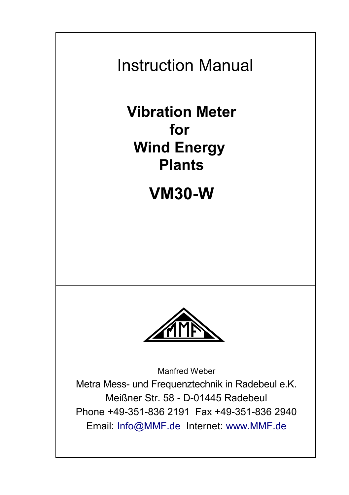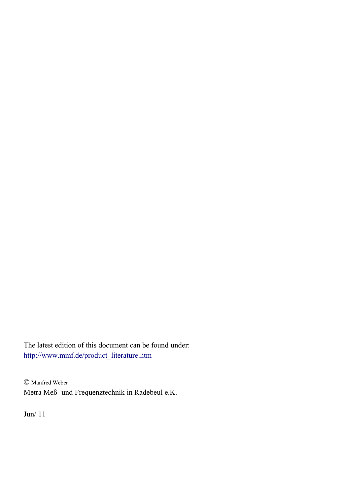The latest edition of this document can be found under: [http://www.mmf.de/product\\_literature.htm](http://www.mmf.de/product_literature.htm)

© Manfred Weber Metra Meß- und Frequenztechnik in Radebeul e.K.

Jun/ 11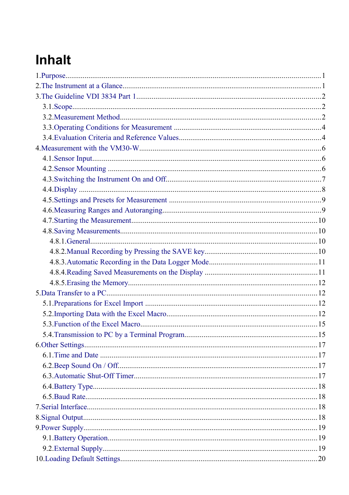# **Inhalt**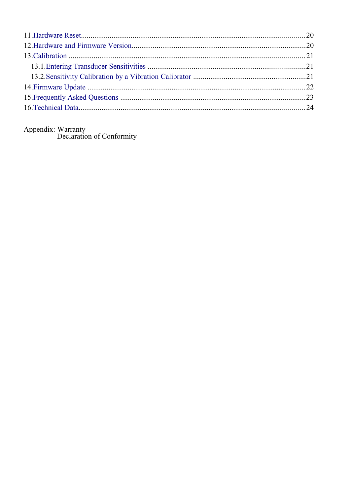Appendix: Warranty<br>Declaration of Conformity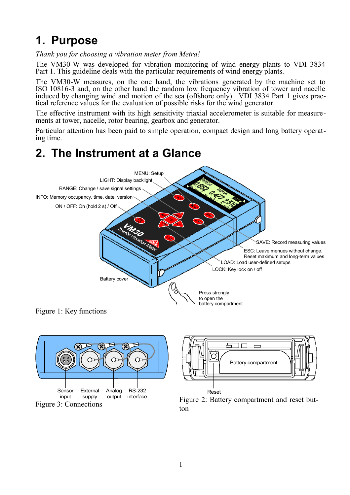# <span id="page-4-1"></span>**1. Purpose**

*Thank you for choosing a vibration meter from Metra!*

The VM30-W was developed for vibration monitoring of wind energy plants to VDI 3834 Part 1. This guideline deals with the particular requirements of wind energy plants.

The VM30-W measures, on the one hand, the vibrations generated by the machine set to ISO 10816-3 and, on the other hand the random low frequency vibration of tower and nacelle induced by changing wind and motion of the sea (offshore only). VDI 3834 Part 1 gives practical reference values for the evaluation of possible risks for the wind generator.

The effective instrument with its high sensitivity triaxial accelerometer is suitable for measurements at tower, nacelle, rotor bearing, gearbox and generator.

Particular attention has been paid to simple operation, compact design and long battery operating time.

## <span id="page-4-0"></span>**2. The Instrument at a Glance**



Figure 1: Key functions





<span id="page-4-2"></span>Figure 2: Battery compartment and reset button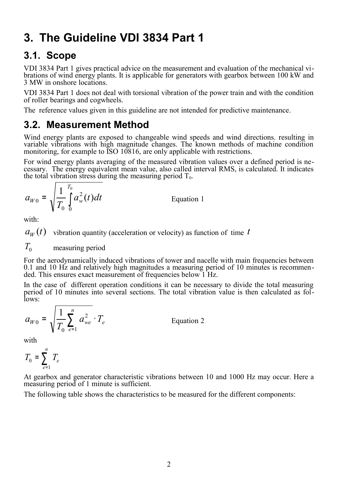# <span id="page-5-2"></span>**3. The Guideline VDI 3834 Part 1**

#### <span id="page-5-1"></span>**3.1. Scope**

VDI 3834 Part 1 gives practical advice on the measurement and evaluation of the mechanical vibrations of wind energy plants. It is applicable for generators with gearbox between 100 kW and 3 MW in onshore locations.

VDI 3834 Part 1 does not deal with torsional vibration of the power train and with the condition of roller bearings and cogwheels.

The reference values given in this guideline are not intended for predictive maintenance.

#### <span id="page-5-0"></span>**3.2. Measurement Method**

Wind energy plants are exposed to changeable wind speeds and wind directions. resulting in variable vibrations with high magnitude changes. The known methods of machine condition monitoring, for example to ISO 10816, are only applicable with restrictions.

For wind energy plants averaging of the measured vibration values over a defined period is necessary. The energy equivalent mean value, also called interval RMS, is calculated. It indicates the total vibration stress during the measuring period  $T_0$ .

$$
a_{W0} = \sqrt{\frac{1}{T_0}} \int\limits_{0}^{T_0} a_w^2(t) dt
$$

**Equation 1** 

with:

 $a_w(t)$  vibration quantity (acceleration or velocity) as function of time *t* 

$$
T_0
$$
 measuring period

For the aerodynamically induced vibrations of tower and nacelle with main frequencies between 0.1 and 10 Hz and relatively high magnitudes a measuring period of 10 minutes is recommended. This ensures exact measurement of frequencies below 1 Hz.

In the case of different operation conditions it can be necessary to divide the total measuring period of 10 minutes into several sections. The total vibration value is then calculated as follows:

$$
a_{W0} = \sqrt{\frac{1}{T_0} \sum_{e=1}^{n} a_{we}^2} \cdot T_e
$$
 Equation 2

with

$$
T_0 = \sum_{e=1}^n T_e
$$

At gearbox and generator characteristic vibrations between 10 and 1000 Hz may occur. Here a measuring period of 1 minute is sufficient.

The following table shows the characteristics to be measured for the different components: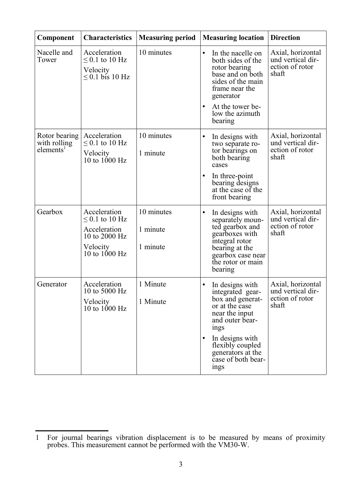<span id="page-6-1"></span>

| Component                                              | <b>Characteristics</b>                                                                              | <b>Measuring period</b>            | <b>Measuring location</b>                                                                                                                                                                                                                  | <b>Direction</b>                                                   |
|--------------------------------------------------------|-----------------------------------------------------------------------------------------------------|------------------------------------|--------------------------------------------------------------------------------------------------------------------------------------------------------------------------------------------------------------------------------------------|--------------------------------------------------------------------|
| Nacelle and<br>Tower                                   | Acceleration<br>$\leq$ 0.1 to 10 Hz<br>Velocity<br>$\leq$ 0.1 bis 10 Hz                             | 10 minutes                         | $\bullet$<br>In the nacelle on<br>both sides of the<br>rotor bearing<br>base and on both<br>sides of the main<br>frame near the<br>generator<br>At the tower be-<br>low the azimuth<br>bearing                                             | Axial, horizontal<br>und vertical dir-<br>ection of rotor<br>shaft |
| Rotor bearing<br>with rolling<br>elements <sup>1</sup> | Acceleration<br>$\leq$ 0.1 to 10 Hz<br>Velocity<br>10 to $1000 \text{ Hz}$                          | 10 minutes<br>1 minute             | $\bullet$<br>In designs with<br>two separate ro-<br>tor bearings on<br>both bearing<br>cases<br>In three-point<br>$\bullet$<br>bearing designs<br>at the case of the<br>front bearing                                                      | Axial, horizontal<br>und vertical dir-<br>ection of rotor<br>shaft |
| Gearbox                                                | Acceleration<br>$\leq$ 0.1 to 10 Hz<br>Acceleration<br>10 to 2000 Hz<br>Velocity<br>10 to $1000$ Hz | 10 minutes<br>1 minute<br>1 minute | $\bullet$<br>In designs with<br>separately moun-<br>ted gearbox and<br>gearboxes with<br>integral rotor<br>bearing at the<br>gearbox case near<br>the rotor or main<br>bearing                                                             | Axial, horizontal<br>und vertical dir-<br>ection of rotor<br>shaft |
| Generator                                              | Acceleration<br>10 to 5000 Hz<br>Velocity<br>10 to $1000$ Hz                                        | 1 Minute<br>1 Minute               | $\bullet$<br>In designs with<br>integrated gear-<br>box and generat-<br>or at the case<br>near the input<br>and outer bear-<br>ings<br>$\bullet$<br>In designs with<br>flexibly coupled<br>generators at the<br>case of both bear-<br>ings | Axial, horizontal<br>und vertical dir-<br>ection of rotor<br>shaft |

<span id="page-6-0"></span><sup>1</sup> For journal bearings vibration displacement is to be measured by means of proximity probes. This measurement cannot be performed with the VM30-W.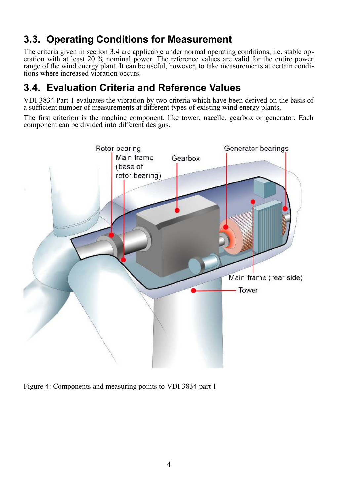## <span id="page-7-1"></span>**3.3. Operating Conditions for Measurement**

The criteria given in section [3.4](#page-7-0) are applicable under normal operating conditions, i.e. stable operation with at least 20 % nominal power. The reference values are valid for the entire power range of the wind energy plant. It can be useful, however, to take measurements at certain conditions where increased vibration occurs.

#### <span id="page-7-0"></span>**3.4. Evaluation Criteria and Reference Values**

VDI 3834 Part 1 evaluates the vibration by two criteria which have been derived on the basis of a sufficient number of measurements at different types of existing wind energy plants.

The first criterion is the machine component, like tower, nacelle, gearbox or generator. Each component can be divided into different designs.



Figure 4: Components and measuring points to VDI 3834 part 1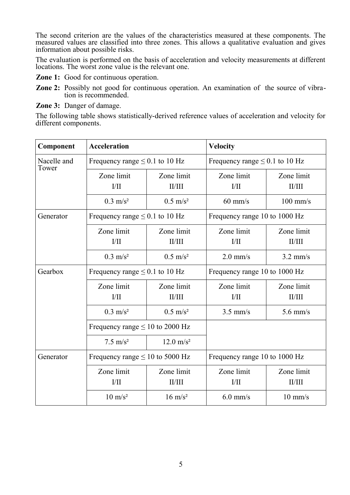The second criterion are the values of the characteristics measured at these components. The measured values are classified into three zones. This allows a qualitative evaluation and gives information about possible risks.

The evaluation is performed on the basis of acceleration and velocity measurements at different locations. The worst zone value is the relevant one.

**Zone 1:** Good for continuous operation.

**Zone 2:** Possibly not good for continuous operation. An examination of the source of vibration is recommended.

**Zone 3:** Danger of damage.

The following table shows statistically-derived reference values of acceleration and velocity for different components.

| Component            | <b>Acceleration</b>                        |                      | <b>Velocity</b>                     |                      |  |
|----------------------|--------------------------------------------|----------------------|-------------------------------------|----------------------|--|
| Nacelle and<br>Tower | Frequency range $\leq 0.1$ to 10 Hz        |                      | Frequency range $\leq 0.1$ to 10 Hz |                      |  |
|                      | Zone limit<br>$V$ II                       | Zone limit<br>II/III | Zone limit<br>I/II                  | Zone limit<br>II/III |  |
|                      | $0.3 \text{ m/s}^2$                        | $0.5 \text{ m/s}^2$  | $60$ mm/s                           | $100$ mm/s           |  |
| Generator            | Frequency range $\leq 0.1$ to 10 Hz        |                      | Frequency range 10 to 1000 Hz       |                      |  |
|                      | Zone limit<br>1/11                         | Zone limit<br>II/III | Zone limit<br>VII                   | Zone limit<br>II/III |  |
|                      | $0.3 \text{ m/s}^2$<br>$0.5 \text{ m/s}^2$ |                      | $2.0$ mm/s                          | $3.2$ mm/s           |  |
| Gearbox              | Frequency range $\leq 0.1$ to 10 Hz        |                      | Frequency range 10 to 1000 Hz       |                      |  |
|                      | Zone limit<br>IJП                          | Zone limit<br>II/III | Zone limit<br>VII                   | Zone limit<br>II/III |  |
|                      | $0.3 \text{ m/s}^2$                        | $0.5 \text{ m/s}^2$  | $3.5$ mm/s                          | $5.6$ mm/s           |  |
|                      | Frequency range $\leq 10$ to 2000 Hz       |                      |                                     |                      |  |
|                      | $7.5 \text{ m/s}^2$                        | $12.0 \text{ m/s}^2$ |                                     |                      |  |
| Generator            | Frequency range $\leq 10$ to 5000 Hz       |                      | Frequency range 10 to 1000 Hz       |                      |  |
|                      | Zone limit<br>$V$ II                       | Zone limit<br>II/III | Zone limit<br>1/II                  | Zone limit<br>II/III |  |
|                      | $10 \text{ m/s}^2$                         | $16 \text{ m/s}^2$   | $10 \text{ mm/s}$<br>$6.0$ mm/s     |                      |  |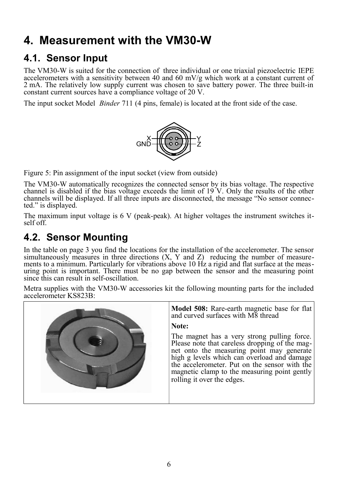# <span id="page-9-2"></span>**4. Measurement with the VM30-W**

## <span id="page-9-1"></span>**4.1. Sensor Input**

The VM30-W is suited for the connection of three individual or one triaxial piezoelectric IEPE accelerometers with a sensitivity between 40 and 60 mV/g which work at a constant current of 2 mA. The relatively low supply current was chosen to save battery power. The three built-in constant current sources have a compliance voltage of 20 V.

The input socket Model *Binder* 711 (4 pins, female) is located at the front side of the case.



Figure 5: Pin assignment of the input socket (view from outside)

The VM30-W automatically recognizes the connected sensor by its bias voltage. The respective channel is disabled if the bias voltage exceeds the limit of 19 V. Only the results of the other channels will be displayed. If all three inputs are disconnected, the message "No sensor connected." is displayed.

The maximum input voltage is 6 V (peak-peak). At higher voltages the instrument switches itself off.

## <span id="page-9-0"></span>**4.2. Sensor Mounting**

In the table on page [3](#page-6-1) you find the locations for the installation of the accelerometer. The sensor simultaneously measures in three directions  $(X, Y, Z)$  reducing the number of measurements to a minimum. Particularly for vibrations above 10 Hz a rigid and flat surface at the measuring point is important. There must be no gap between the sensor and the measuring point since this can result in self-oscillation.

Metra supplies with the VM30-W accessories kit the following mounting parts for the included accelerometer KS823B:

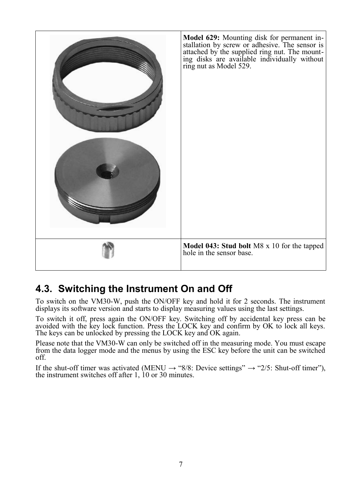

## <span id="page-10-0"></span>**4.3. Switching the Instrument On and Off**

To switch on the VM30-W, push the ON/OFF key and hold it for 2 seconds. The instrument displays its software version and starts to display measuring values using the last settings.

To switch it off, press again the ON/OFF key. Switching off by accidental key press can be avoided with the key lock function. Press the LOCK key and confirm by OK to lock all keys. The keys can be unlocked by pressing the LOCK key and OK again.

Please note that the VM30-W can only be switched off in the measuring mode. You must escape from the data logger mode and the menus by using the ESC key before the unit can be switched off.

If the shut-off timer was activated (MENU  $\rightarrow$  "8/8: Device settings"  $\rightarrow$  "2/5: Shut-off timer"), the instrument switches off after 1, 10 or 30 minutes.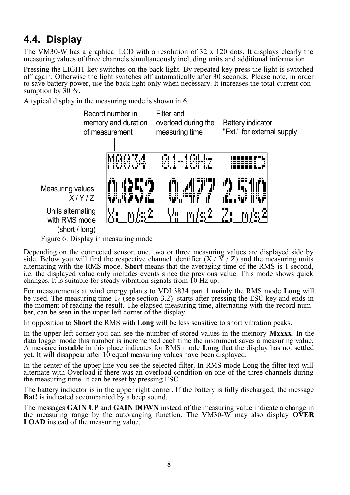### <span id="page-11-0"></span>**4.4. Display**

The VM30-W has a graphical LCD with a resolution of  $32 \times 120$  dots. It displays clearly the measuring values of three channels simultaneously including units and additional information.

Pressing the LIGHT key switches on the back light. By repeated key press the light is switched off again. Otherwise the light switches off automatically after 30 seconds. Please note, in order to save battery power, use the back light only when necessary. It increases the total current consumption by  $30\%$ .

A typical display in the measuring mode is shown in [6.](#page-11-1)



<span id="page-11-1"></span>Figure 6: Display in measuring mode

Depending on the connected sensor, one, two or three measuring values are displayed side by side. Below you will find the respective channel identifier  $(X / \tilde{Y} / Z)$  and the measuring units alternating with the RMS mode. **Short** means that the averaging time of the RMS is 1 second, i.e. the displayed value only includes events since the previous value. This mode shows quick changes. It is suitable for steady vibration signals from 10 Hz up.

For measurements at wind energy plants to VDI 3834 part 1 mainly the RMS mode **Long** will be used. The measuring time  $T_0$  (see section [3.2\)](#page-5-0) starts after pressing the ESC key and ends in the moment of reading the result. The elapsed measuring time, alternating with the record number, can be seen in the upper left corner of the display.

In opposition to **Short** the RMS with **Long** will be less sensitive to short vibration peaks.

In the upper left corner you can see the number of stored values in the memory **Mxxxx**. In the data logger mode this number is incremented each time the instrument saves a measuring value. A message **instable** in this place indicates for RMS mode **Long** that the display has not settled yet. It will disappear after 10 equal measuring values have been displayed.

In the center of the upper line you see the selected filter. In RMS mode Long the filter text will alternate with Overload if there was an overload condition on one of the three channels during the measuring time. It can be reset by pressing ESC.

The battery indicator is in the upper right corner. If the battery is fully discharged, the message **Bat!** is indicated accompanied by a beep sound.

The messages **GAIN UP** and **GAIN DOWN** instead of the measuring value indicate a change in the measuring range by the autoranging function. The VM30-W may also display **OVER LOAD** instead of the measuring value.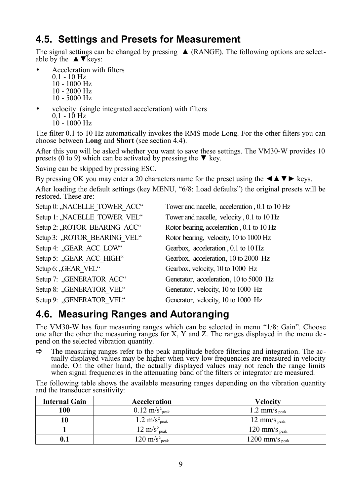### <span id="page-12-1"></span>**4.5. Settings and Presets for Measurement**

The signal settings can be changed by pressing  $\triangle$  (RANGE). The following options are selectable by the  $\triangle \blacktriangledown$  keys:

- Acceleration with filters
	- $0.1 10$  Hz 10 - 1000 Hz 10 - 2000 Hz 10 - 5000 Hz
- velocity (single integrated acceleration) with filters 0,1 - 10 Hz 10 - 1000 Hz

The filter 0.1 to 10 Hz automatically invokes the RMS mode Long. For the other filters you can choose between **Long** and **Short** (see section [4.4\)](#page-11-0).

After this you will be asked whether you want to save these settings. The VM30-W provides 10 presets (0 to 9) which can be activated by pressing the  $\nabla$  key.

Saving can be skipped by pressing ESC.

By pressing OK you may enter a 20 characters name for the preset using the  $\triangle \blacktriangleright \text{keys.}$ After loading the default settings (key MENU, "6/8: Load defaults") the original presets will be restored. These are:

| Setup 0: "NACELLE TOWER ACC" | Tower and nacelle, acceleration, 0.1 to 10 Hz |
|------------------------------|-----------------------------------------------|
| Setup 1: "NACELLE TOWER VEL" | Tower and nacelle, velocity, 0.1 to 10 Hz     |
| Setup 2: "ROTOR BEARING ACC" | Rotor bearing, acceleration, 0.1 to 10 Hz     |
| Setup 3: "ROTOR BEARING VEL" | Rotor bearing, velocity, 10 to 1000 Hz        |
| Setup 4: "GEAR ACC LOW"      | Gearbox, acceleration, 0.1 to 10 Hz           |
| Setup 5: "GEAR ACC HIGH"     | Gearbox, acceleration, 10 to 2000 Hz          |
| Setup 6: "GEAR VEL"          | Gearbox, velocity, 10 to 1000 Hz              |
| Setup 7: "GENERATOR ACC"     | Generator, acceleration, 10 to 5000 Hz        |
| Setup 8: "GENERATOR VEL"     | Generator, velocity, 10 to 1000 Hz            |
| Setup 9: "GENERATOR VEL"     | Generator, velocity, 10 to 1000 Hz            |

### <span id="page-12-0"></span>**4.6. Measuring Ranges and Autoranging**

The VM30-W has four measuring ranges which can be selected in menu "1/8: Gain". Choose one after the other the measuring ranges for X, Y and Z. The ranges displayed in the menu de pend on the selected vibration quantity.

 $\Rightarrow$  The measuring ranges refer to the peak amplitude before filtering and integration. The actually displayed values may be higher when very low frequencies are measured in velocity mode. On the other hand, the actually displayed values may not reach the range limits when signal frequencies in the attenuating band of the filters or integrator are measured.

The following table shows the available measuring ranges depending on the vibration quantity and the transducer sensitivity:

| <b>Internal Gain</b> | Acceleration                         | <b>Velocity</b>            |
|----------------------|--------------------------------------|----------------------------|
| 100                  | $0.12 \text{ m/s}^2$ <sub>peak</sub> | 1.2 mm/s $_{\text{peak}}$  |
|                      | 1.2 $\text{m/s}^2$ <sub>peak</sub>   | 12 mm/s $_{\text{neak}}$   |
|                      | $12 \text{ m/s}^2$ <sub>neak</sub>   | 120 mm/s $_{\text{peak}}$  |
|                      | $120 \text{ m/s}^2$ <sub>peak</sub>  | 1200 mm/s $_{\text{neak}}$ |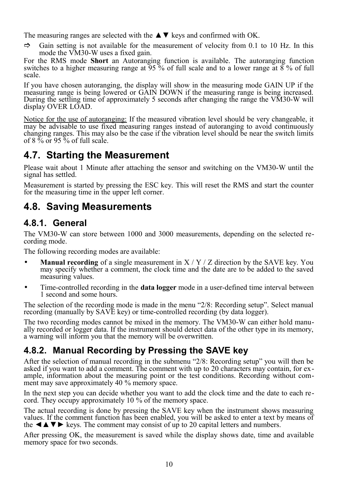The measuring ranges are selected with the  $\triangle \blacktriangledown$  keys and confirmed with OK.

 $\Rightarrow$  Gain setting is not available for the measurement of velocity from 0.1 to 10 Hz. In this mode the VM30-W uses a fixed gain.

For the RMS mode **Short** an Autoranging function is available. The autoranging function switches to a higher measuring range at 95 % of full scale and to a lower range at 8 % of full scale.

If you have chosen autoranging, the display will show in the measuring mode GAIN UP if the measuring range is being lowered or GAIN DOWN if the measuring range is being increased. During the settling time of approximately 5 seconds after changing the range the VM30-W will display OVER LOAD.

Notice for the use of autoranging: If the measured vibration level should be very changeable, it may be advisable to use fixed measuring ranges instead of autoranging to avoid continuously changing ranges. This may also be the case if the vibration level should be near the switch limits of 8  $\%$  or 95  $\%$  of full scale.

#### <span id="page-13-3"></span>**4.7. Starting the Measurement**

Please wait about 1 Minute after attaching the sensor and switching on the VM30-W until the signal has settled.

Measurement is started by pressing the ESC key. This will reset the RMS and start the counter for the measuring time in the upper left corner.

#### <span id="page-13-2"></span>**4.8. Saving Measurements**

#### <span id="page-13-1"></span>**4.8.1. General**

The VM30-W can store between 1000 and 3000 measurements, depending on the selected recording mode.

The following recording modes are available:

- **Manual recording** of a single measurement in  $X/Y/Z$  direction by the SAVE key. You may specify whether a comment, the clock time and the date are to be added to the saved measuring values.
- Time-controlled recording in the **data logger** mode in a user-defined time interval between 1 second and some hours.

The selection of the recording mode is made in the menu "2/8: Recording setup". Select manual recording (manually by SAVE key) or time-controlled recording (by data logger).

The two recording modes cannot be mixed in the memory. The VM30-W can either hold manually recorded or logger data. If the instrument should detect data of the other type in its memory, a warning will inform you that the memory will be overwritten.

#### <span id="page-13-0"></span>**4.8.2. Manual Recording by Pressing the SAVE key**

After the selection of manual recording in the submenu "2/8: Recording setup" you will then be asked if you want to add a comment. The comment with up to 20 characters may contain, for example, information about the measuring point or the test conditions. Recording without comment may save approximately 40 % memory space.

In the next step you can decide whether you want to add the clock time and the date to each record. They occupy approximately 10 % of the memory space.

The actual recording is done by pressing the SAVE key when the instrument shows measuring values. If the comment function has been enabled, you will be asked to enter a text by means of the  $\triangle$   $\blacktriangleright$  keys. The comment may consist of up to 20 capital letters and numbers.

After pressing OK, the measurement is saved while the display shows date, time and available memory space for two seconds.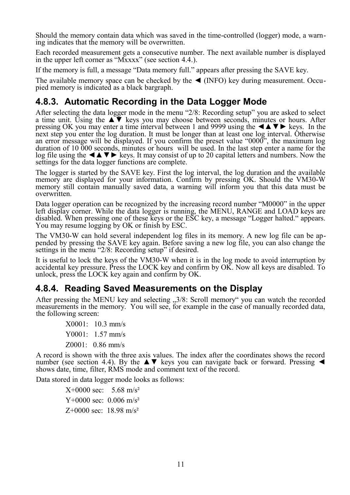Should the memory contain data which was saved in the time-controlled (logger) mode, a warning indicates that the memory will be overwritten.

Each recorded measurement gets a consecutive number. The next available number is displayed in the upper left corner as "Mxxxx" (see section [4.4.\)](#page-11-0).

If the memory is full, a message "Data memory full." appears after pressing the SAVE key.

The available memory space can be checked by the  $\triangleleft$  (INFO) key during measurement. Occupied memory is indicated as a black bargraph.

#### <span id="page-14-1"></span>**4.8.3. Automatic Recording in the Data Logger Mode**

After selecting the data logger mode in the menu "2/8: Recording setup" you are asked to select a time unit. Using the ▲▼ keys you may choose between seconds, minutes or hours. After pressing OK you may enter a time interval between 1 and 9999 using the  $\triangle$   $\blacktriangleright$  keys. In the next step you enter the log duration. It must be longer than at least one log interval. Otherwise an error message will be displayed. If you confirm the preset value "0000", the maximum log duration of 10 000 seconds, minutes or hours will be used. In the last step enter a name for the log file using the  $\blacktriangle$   $\blacktriangleright$   $\blacktriangleright$  keys. It may consist of up to 20 capital letters and numbers. Now the settings for the data logger functions are complete.

The logger is started by the SAVE key. First the log interval, the log duration and the available memory are displayed for your information. Confirm by pressing OK. Should the VM30-W memory still contain manually saved data, a warning will inform you that this data must be overwritten.

Data logger operation can be recognized by the increasing record number "M0000" in the upper left display corner. While the data logger is running, the MENU, RANGE and LOAD keys are disabled. When pressing one of these keys or the ESC key, a message "Logger halted." appears. You may resume logging by OK or finish by ESC.

The VM30-W can hold several independent log files in its memory. A new log file can be appended by pressing the SAVE key again. Before saving a new log file, you can also change the settings in the menu "2/8: Recording setup" if desired.

It is useful to lock the keys of the VM30-W when it is in the log mode to avoid interruption by accidental key pressure. Press the LOCK key and confirm by OK. Now all keys are disabled. To unlock, press the LOCK key again and confirm by OK.

#### <span id="page-14-0"></span>**4.8.4. Reading Saved Measurements on the Display**

After pressing the MENU key and selecting  $\frac{1}{2}$  3/8: Scroll memory" you can watch the recorded measurements in the memory. You will see, for example in the case of manually recorded data, the following screen:

> X0001: 10.3 mm/s Y0001: 1.57 mm/s Z0001: 0.86 mm/s

A record is shown with the three axis values. The index after the coordinates shows the record number (see section [4.4\)](#page-11-0). By the ▲▼ keys you can navigate back or forward. Pressing ◄ shows date, time, filter, RMS mode and comment text of the record.

Data stored in data logger mode looks as follows:

 $X+0000$  sec: 5.68 m/s<sup>2</sup>  $Y+0000$  sec: 0.006 m/s<sup>2</sup>  $Z+0000$  sec: 18.98 m/s<sup>2</sup>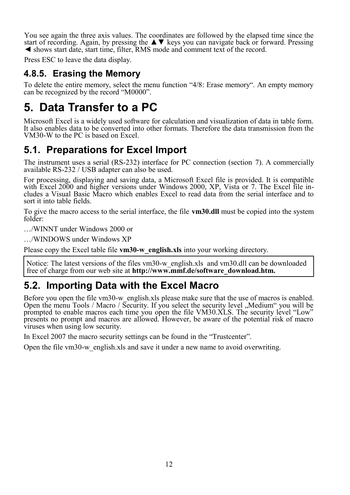You see again the three axis values. The coordinates are followed by the elapsed time since the start of recording. Again, by pressing the  $\blacktriangle \blacktriangledown$  keys you can navigate back or forward. Pressing ◄ shows start date, start time, filter, RMS mode and comment text of the record.

Press ESC to leave the data display.

#### <span id="page-15-3"></span>**4.8.5. Erasing the Memory**

To delete the entire memory, select the menu function "4/8: Erase memory". An empty memory can be recognized by the record "M0000".

## <span id="page-15-2"></span>**5. Data Transfer to a PC**

Microsoft Excel is a widely used software for calculation and visualization of data in table form. It also enables data to be converted into other formats. Therefore the data transmission from the VM30-W to the PC is based on Excel.

### <span id="page-15-1"></span>**5.1. Preparations for Excel Import**

The instrument uses a serial (RS-232) interface for PC connection (section [7\)](#page-21-1). A commercially available RS-232 / USB adapter can also be used.

For processing, displaying and saving data, a Microsoft Excel file is provided. It is compatible with Excel 2000 and higher versions under Windows 2000, XP, Vista or 7. The Excel file includes a Visual Basic Macro which enables Excel to read data from the serial interface and to sort it into table fields.

To give the macro access to the serial interface, the file **vm30.dll** must be copied into the system folder:

…/WINNT under Windows 2000 or

…/WINDOWS under Windows XP

Please copy the Excel table file **vm30-w** english.xls into your working directory.

Notice: The latest versions of the files vm30-w english.xls and vm30.dll can be downloaded free of charge from our web site at **http://www.mmf.de/software\_download.htm.** 

## <span id="page-15-0"></span>**5.2. Importing Data with the Excel Macro**

Before you open the file vm30-w english.xls please make sure that the use of macros is enabled. Open the menu Tools / Macro / Security. If you select the security level "Medium" you will be prompted to enable macros each time you open the file VM30.XLS. The security level "Low" presents no prompt and macros are allowed. However, be aware of the potential risk of macro viruses when using low security.

In Excel 2007 the macro security settings can be found in the "Trustcenter".

Open the file vm30-w\_english.xls and save it under a new name to avoid overwriting.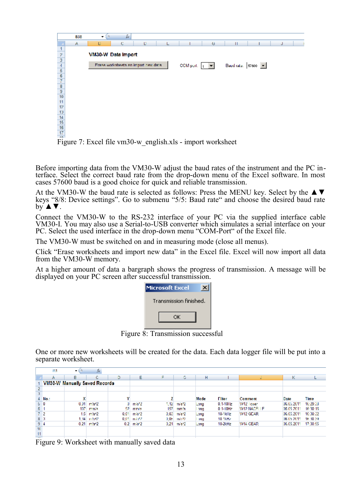

Figure 7: Excel file vm30-w english.xls - import worksheet

Before importing data from the VM30-W adjust the baud rates of the instrument and the PC interface. Select the correct baud rate from the drop-down menu of the Excel software. In most cases 57600 baud is a good choice for quick and reliable transmission.

At the VM30-W the baud rate is selected as follows: Press the MENU key. Select by the  $\blacktriangle \blacktriangledown$ keys "8/8: Device settings". Go to submenu "5/5: Baud rate" and choose the desired baud rate  $b\overline{v}$   $\blacktriangle$   $\nabla$ .

Connect the VM30-W to the RS-232 interface of your PC via the supplied interface cable VM30-I. You may also use a Serial-to-USB converter which simulates a serial interface on your PC. Select the used interface in the drop-down menu "COM-Port" of the Excel file.

The VM30-W must be switched on and in measuring mode (close all menus).

Click "Erase worksheets and import new data" in the Excel file. Excel will now import all data from the VM30-W memory.

At a higher amount of data a bargraph shows the progress of transmission. A message will be displayed on your PC screen after successful transmission.

| <b>Microsoft Excel</b> |
|------------------------|
| Transmission finished. |
| ΩK                     |
|                        |

Figure 8: Transmission successful

One or more new worksheets will be created for the data. Each data logger file will be put into a separate worksheet.

|                | 113            | $\blacksquare$                       | fx                        |      |                   |      |                          |      |                |                |            |          |
|----------------|----------------|--------------------------------------|---------------------------|------|-------------------|------|--------------------------|------|----------------|----------------|------------|----------|
|                |                | в                                    | c                         | D    | F                 | Е    | G.                       | н    |                |                | к          |          |
|                |                | <b>VM30-W Manually Saved Records</b> |                           |      |                   |      |                          |      |                |                |            |          |
|                |                |                                      |                           |      |                   |      |                          |      |                |                |            |          |
| 3              |                |                                      |                           |      |                   |      |                          |      |                |                |            |          |
|                | $4$ No.:       | x                                    |                           |      |                   |      |                          | Mode | <b>Filter</b>  | <b>Comment</b> | Date       | Time     |
| 50             |                |                                      | $0.01$ m/s <sup>2</sup> 2 |      | $0 \, m/s^2$      | 1.12 | m/s^2                    | Long | $0.1 - 101$ Lz | W12 Tower      | 06.05.2011 | 16:29:38 |
| 61             |                |                                      | $107$ mm/s                | 92.  | mm/s              | 157  | mm/s                     | ang  | $01-10Hz$      | W12 NACELLE    | 06.05.2011 | 16:30:16 |
|                | 7 <sub>2</sub> |                                      | $1.5$ m/s <sup>x2</sup>   | 0.01 | mis <sup>k2</sup> | 0.03 | m/s*2                    | Long | 10-1kHz        | W12 GEAR       | 06.05.2011 | 16:30:32 |
| $8-3$          |                |                                      | 1.34 m/sV2                | 0.01 | me 19             | 0.01 | m/cM2                    | ang  | 10 1kHz        |                | 06.05.2011 | 16,30,39 |
| 9 <sub>4</sub> |                |                                      | $0.21$ m/s <sup>+2</sup>  |      | $0.2 \, m/s'2$    |      | $0.21$ m/s <sup>-2</sup> | Long | 10-2kHz        | W14 GEAR       | 06.05.2011 | 17:30:55 |
| 10             |                |                                      |                           |      |                   |      |                          |      |                |                |            |          |
| 11.            |                |                                      |                           |      |                   |      |                          |      |                |                |            |          |

Figure 9: Worksheet with manually saved data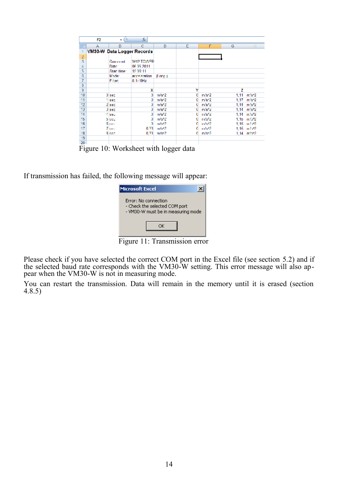|                | F2                         | ίñ.<br>۰       | $f_{\rm M}$   |                  |    |                   |               |
|----------------|----------------------------|----------------|---------------|------------------|----|-------------------|---------------|
|                | А                          | D              | c             | D                | с  | г                 | G<br>m        |
|                | VM30-W Data Logger Records |                |               |                  |    |                   |               |
| $\frac{2}{3}$  |                            |                |               |                  |    |                   |               |
|                |                            | Comment        | W12 TOWER     |                  |    |                   |               |
| 4              |                            | Date:          | 06 05 2011    |                  |    |                   |               |
|                |                            | Start time:    | 15:06:11      |                  |    |                   |               |
| $\overline{6}$ |                            | Moder          | acceleration  | $(1$ one.)       |    |                   |               |
| 7              |                            | <b>Filter:</b> | $0.1 - 10$ Hz |                  |    |                   |               |
| 8              |                            |                |               |                  |    |                   |               |
| 9              |                            |                | x             |                  | Y  |                   | z             |
| 10             |                            | 0 sec          | ٥             | m/s <sup>2</sup> | ٥  | m/s <sub>2</sub>  | m/sn2<br>1.11 |
| 11             |                            | 1 sec          | ٥             | $m/s^2$          | ٥  | m/s*2             | 1,17<br>m/s*2 |
| 12             |                            | 2 год          | o             | m/s/2            | o  | m/s'2             | m/s*2<br>1.14 |
| 13             |                            | <b>J'sec</b>   | o             | m/s'2            | O. | m/s'2             | m/s*2<br>1.14 |
| 14             |                            | 4 sec          | o             | m/s2             | o  | m/s <sup>k2</sup> | m/s*2<br>1.14 |
| 15             |                            | <b>b</b> pec   | o             | m/s/2            | o  | m/s <sup>k2</sup> | 1.15 m/s*2    |
| 16             |                            | 6 pec.         |               | ml:42            |    | mh#2              | 1.15 m/m2     |
| 17             |                            | 7 pec          | 0.33          | mlat2            |    | mht9              | 1.15 m/s/2    |
| 18             |                            | 8 sec          | 0.33          | m/s/2            | o  | m/st2             | 1.14 m/m2     |
| 19             |                            |                |               |                  |    |                   |               |
| $\overline{a}$ |                            |                |               |                  |    |                   |               |

Figure 10: Worksheet with logger data

If transmission has failed, the following message will appear:

| Microsoft Excel                                                                             |
|---------------------------------------------------------------------------------------------|
| Error: No connection<br>- Check the selected COM port<br>- VM30-W must be in measuring mode |
|                                                                                             |

Figure 11: Transmission error

Please check if you have selected the correct COM port in the Excel file (see section [5.2\)](#page-15-0) and if the selected baud rate corresponds with the VM30-W setting. This error message will also appear when the VM30-W is not in measuring mode.

You can restart the transmission. Data will remain in the memory until it is erased (section [4.8.5\)](#page-15-3)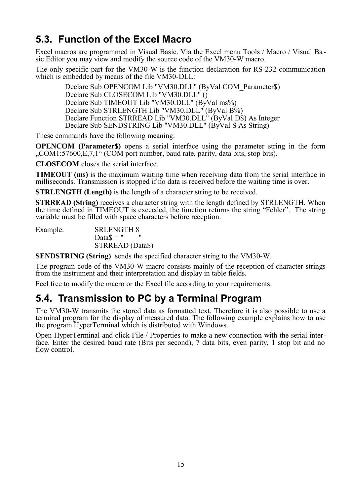## <span id="page-18-1"></span>**5.3. Function of the Excel Macro**

Excel macros are programmed in Visual Basic. Via the Excel menu Tools / Macro / Visual Ba sic Editor you may view and modify the source code of the VM30-W macro.

The only specific part for the VM30-W is the function declaration for RS-232 communication which is embedded by means of the file VM30-DLL:

Declare Sub OPENCOM Lib "VM30.DLL" (ByVal COM\_Parameter\$) Declare Sub CLOSECOM Lib "VM30.DLL" () Declare Sub TIMEOUT Lib "VM30.DLL" (ByVal ms%) Declare Sub STRLENGTH Lib "VM30.DLL" (BvVal B%) Declare Function STRREAD Lib "VM30.DLL" (ByVal D\$) As Integer Declare Sub SENDSTRING Lib "VM30.DLL" (ByVal S As String)

These commands have the following meaning:

**OPENCOM (Parameter\$)** opens a serial interface using the parameter string in the form "COM1:57600, E, 7, 1" (COM port number, baud rate, parity, data bits, stop bits).

**CLOSECOM** closes the serial interface.

**TIMEOUT (ms)** is the maximum waiting time when receiving data from the serial interface in milliseconds. Transmission is stopped if no data is received before the waiting time is over.

**STRLENGTH (Length)** is the length of a character string to be received.

**STRREAD (String)** receives a character string with the length defined by STRLENGTH. When the time defined in TIMEOUT is exceeded, the function returns the string "Fehler". The string variable must be filled with space characters before reception.

Example: SRLENGTH 8 Data $$ = "$ STRREAD (Data\$)

**SENDSTRING (String)** sends the specified character string to the VM30-W.

The program code of the VM30-W macro consists mainly of the reception of character strings from the instrument and their interpretation and display in table fields.

Feel free to modify the macro or the Excel file according to your requirements.

#### <span id="page-18-0"></span>**5.4. Transmission to PC by a Terminal Program**

The VM30-W transmits the stored data as formatted text. Therefore it is also possible to use a terminal program for the display of measured data. The following example explains how to use the program HyperTerminal which is distributed with Windows.

Open HyperTerminal and click File / Properties to make a new connection with the serial interface. Enter the desired baud rate (Bits per second), 7 data bits, even parity, 1 stop bit and no flow control.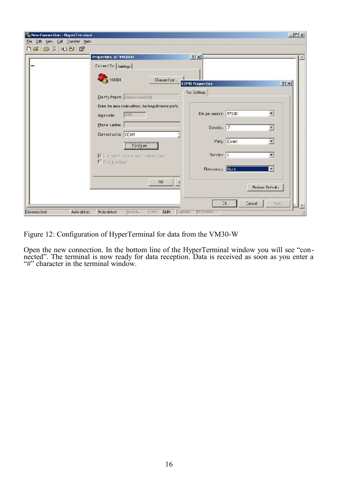| Properties of VM3D-H                                                        | 7x                       |            |                          |
|-----------------------------------------------------------------------------|--------------------------|------------|--------------------------|
| Circle I Tir Settings                                                       |                          |            |                          |
| <b>CHA</b> YM304<br>Change Ison                                             | <b>CDM1 Properties</b>   |            | 2 X                      |
| County Aegon: Deutschand (49)                                               | For: Sottings            |            |                          |
| Enter the area code without the long-distance prefix.<br>0351<br>Area code: | Eite per second:   57500 |            | $\overline{\phantom{a}}$ |
| Hhcre number:<br>Correctusing CCM1                                          | Deta bi.s. 7             |            | ×.                       |
| Conjuse                                                                     |                          | Pany: Even |                          |
| M Leo pourty/region pode and area pode<br>F Eedist In busy                  | <b>Bton hirst   1</b>    |            | ۰                        |
|                                                                             | Flow control. None       |            | E.                       |
| nĸ.                                                                         |                          |            | Restore Defective        |

Figure 12: Configuration of HyperTerminal for data from the VM30-W

Open the new connection. In the bottom line of the HyperTerminal window you will see "connected". The terminal is now ready for data reception. Data is received as soon as you enter a "#" character in the terminal window.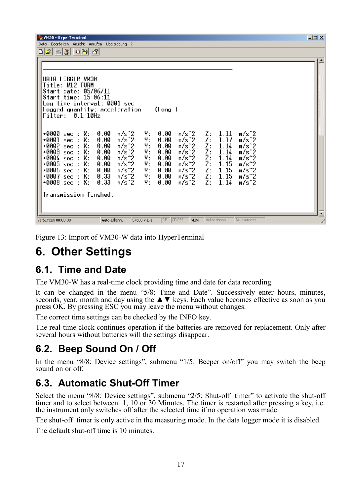| WM30 - HyperTerminal<br>Datei Edarbeiten Ansicht Anrufon Übertradung ?                                                                                                                | $  $ $\Box$ $\times$ |
|---------------------------------------------------------------------------------------------------------------------------------------------------------------------------------------|----------------------|
| De 500 C                                                                                                                                                                              |                      |
|                                                                                                                                                                                       |                      |
|                                                                                                                                                                                       |                      |
| NCMY HIDGGLR DATA                                                                                                                                                                     |                      |
| Title: W12 TURM                                                                                                                                                                       |                      |
| Start date: 05/06/11<br>Start time: 15:06:11                                                                                                                                          |                      |
| Log time interval: 0001 sec                                                                                                                                                           |                      |
| logged quantity: acceleration.<br>(Long.)                                                                                                                                             |                      |
| Filter: 0.1 10Hz                                                                                                                                                                      |                      |
|                                                                                                                                                                                       |                      |
| 0.00<br>Υ:<br>0.00<br>-0000<br>sec: X:<br>$m/s$ 2<br>m/s^2<br>Z:<br>1.11<br>$n/s^2$                                                                                                   |                      |
| Ψ:<br>Z.<br>sec $: X:$<br>11 . MA<br>m/s^2<br>0.00<br>$n/s$ $2$<br>111<br>-иии1<br>$n/s^2$                                                                                            |                      |
| Υ:<br>0002<br>Х.<br>$m/s^2$<br>$m/s^2$<br>Z:<br>1.14<br>0.00<br>0.00<br>$n/s^2$<br>sec:<br>γ:<br>+0003 sec :<br>х.<br>0.00<br>m/s 2<br>$m/s$ 2<br>1.14<br>$n/s$ <sup>-2</sup><br>0.00 |                      |
| Z:<br>Z:<br>Z:<br>1.14<br>+0004 sec :<br>х.<br>m/s^2<br>γ:<br>m/s^2<br>0.00<br>0.00<br>$n/s^2$                                                                                        |                      |
| 1.15<br>Х.<br>γ.<br>+0005 sec :<br>0.00<br>m/s^2<br>0.00<br>m/s^2<br>$n/s^2$                                                                                                          |                      |
| $m/s$ $2$<br>Ψ:<br>$m/s$ $2$<br>Ŀ.<br>1.15<br>+0006 sec : X:<br>0.00<br>$n/s^2$<br>0.00<br>Z:<br>0007 sec : X:<br>Υ:<br>0.33<br>$Ms^2$<br>1.15<br>0.00<br>$m/s^2$<br>$n/s^2$          |                      |
| Z÷<br>+0008 sec : X:<br>0.33<br>Υ:<br>1.14<br>$n/s^2$<br>m/s 2<br>0.00<br>m/s 2                                                                                                       |                      |
|                                                                                                                                                                                       |                      |
| Transmission finshed.                                                                                                                                                                 |                      |
|                                                                                                                                                                                       |                      |
| $RF$ $Qross$<br>DILCKBECTO<br>Aufædnen<br><b>NIM</b><br>Verbuggen 00:03:00<br>Auto-Erkenn.<br>57600 7-F-1                                                                             |                      |

Figure 13: Import of VM30-W data into HyperTerminal

## <span id="page-20-3"></span>**6. Other Settings**

#### <span id="page-20-2"></span>**6.1. Time and Date**

The VM30-W has a real-time clock providing time and date for data recording.

It can be changed in the menu "5/8: Time and Date". Successively enter hours, minutes, seconds, year, month and day using the **▲▼** keys. Each value becomes effective as soon as you press OK. By pressing ESC you may leave the menu without changes.

The correct time settings can be checked by the INFO key.

The real-time clock continues operation if the batteries are removed for replacement. Only after several hours without batteries will the settings disappear.

### <span id="page-20-1"></span>**6.2. Beep Sound On / Off**

In the menu "8/8: Device settings", submenu "1/5: Beeper on/off" you may switch the beep sound on or off.

### <span id="page-20-0"></span>**6.3. Automatic Shut-Off Timer**

Select the menu "8/8: Device settings", submenu "2/5: Shut-off timer" to activate the shut-off timer and to select between 1, 10 or 30 Minutes. The timer is restarted after pressing a key, i.e. the instrument only switches off after the selected time if no operation was made.

The shut-off timer is only active in the measuring mode. In the data logger mode it is disabled.

The default shut-off time is 10 minutes.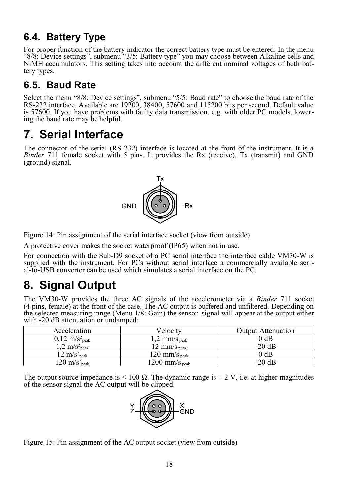## <span id="page-21-3"></span>**6.4. Battery Type**

For proper function of the battery indicator the correct battery type must be entered. In the menu "8/8: Device settings", submenu "3/5: Battery type" you may choose between Alkaline cells and NiMH accumulators. This setting takes into account the different nominal voltages of both battery types.

## <span id="page-21-2"></span>**6.5. Baud Rate**

Select the menu "8/8: Device settings", submenu "5/5: Baud rate" to choose the baud rate of the RS-232 interface. Available are 19200, 38400, 57600 and 115200 bits per second. Default value is 57600. If you have problems with faulty data transmission, e.g. with older PC models, lowering the baud rate may be helpful.

## <span id="page-21-1"></span>**7. Serial Interface**

The connector of the serial (RS-232) interface is located at the front of the instrument. It is a *Binder* 711 female socket with 5 pins. It provides the Rx (receive), Tx (transmit) and GND (ground) signal.



Figure 14: Pin assignment of the serial interface socket (view from outside)

A protective cover makes the socket waterproof (IP65) when not in use.

For connection with the Sub-D9 socket of a PC serial interface the interface cable VM30-W is supplied with the instrument. For PCs without serial interface a commercially available serial-to-USB converter can be used which simulates a serial interface on the PC.

# <span id="page-21-0"></span>**8. Signal Output**

The VM30-W provides the three AC signals of the accelerometer via a *Binder* 711 socket (4 pins, female) at the front of the case. The AC output is buffered and unfiltered. Depending on the selected measuring range (Menu 1/8: Gain) the sensor signal will appear at the output either with -20 dB attenuation or undamped:

| Acceleration                         | Velocitv                    | <b>Output Attenuation</b> |
|--------------------------------------|-----------------------------|---------------------------|
| $0.12 \text{ m/s}^2$ <sub>neak</sub> | $1,2$ mm/s $_{\text{neak}}$ | $0$ dB                    |
| $1.2 \text{ m/s}^2$ <sub>peak</sub>  | 12 mm/s $_{\text{neak}}$    | $-20$ dB                  |
| $12 \text{ m/s}^2$ <sub>neak</sub>   | 120 mm/s $_{\text{neak}}$   | 0 dB                      |
| $120 \text{ m/s}^2$ <sub>peak</sub>  | 1200 mm/s $_{\text{peak}}$  | $-20$ dB                  |

The output source impedance is  $\leq 100 \Omega$ . The dynamic range is  $\pm 2 \text{ V}$ , i.e. at higher magnitudes of the sensor signal the AC output will be clipped.



Figure 15: Pin assignment of the AC output socket (view from outside)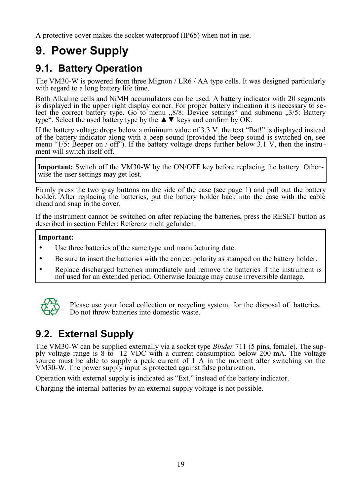A protective cover makes the socket waterproof (IP65) when not in use.

# <span id="page-22-2"></span>**9. Power Supply**

#### <span id="page-22-1"></span>**9.1. Battery Operation**

The VM30-W is powered from three Mignon / LR6 / AA type cells. It was designed particularly with regard to a long battery life time.

Both Alkaline cells and NiMH accumulators can be used. A battery indicator with 20 segments is displayed in the upper right display corner. For proper battery indication it is necessary to select the correct battery type. Go to menu ,,8/8: Device settings" and submenu ,,3/5: Battery type". Select the used battery type by the  $\blacktriangle \triangledown$  keys and confirm by OK.

If the battery voltage drops below a minimum value of 3.3 V, the text "Bat!" is displayed instead of the battery indicator along with a beep sound (provided the beep sound is switched on, see menu "1/5: Beeper on / off"). If the battery voltage drops further below 3.1 V, then the instru ment will switch itself off.

**Important:** Switch off the VM30-W by the ON/OFF key before replacing the battery. Otherwise the user settings may get lost.

Firmly press the two gray buttons on the side of the case (see page [1\)](#page-4-0) and pull out the battery holder. After replacing the batteries, put the battery holder back into the case with the cable ahead and snap in the cover.

If the instrument cannot be switched on after replacing the batteries, press the RESET button as described in section [Fehler: Referenz nicht gefunden.](#page-22-3)

#### **Important:**

- Use three batteries of the same type and manufacturing date.
- Be sure to insert the batteries with the correct polarity as stamped on the battery holder.
- Replace discharged batteries immediately and remove the batteries if the instrument is not used for an extended period. Otherwise leakage may cause irreversible damage.



<span id="page-22-3"></span>Please use your local collection or recycling system for the disposal of batteries. Do not throw batteries into domestic waste.

### <span id="page-22-0"></span>**9.2. External Supply**

The VM30-W can be supplied externally via a socket type *Binder* 711 (5 pins, female). The supply voltage range is 8 to 12 VDC with a current consumption below 200 mA. The voltage source must be able to supply a peak current of 1 A in the moment after switching on the VM30-W. The power supply input is protected against false polarization.

Operation with external supply is indicated as "Ext." instead of the battery indicator.

Charging the internal batteries by an external supply voltage is not possible.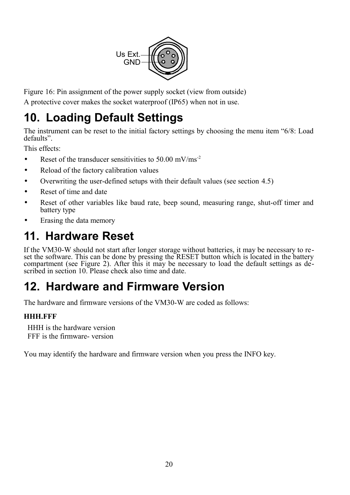

Figure 16: Pin assignment of the power supply socket (view from outside)

A protective cover makes the socket waterproof (IP65) when not in use.

# <span id="page-23-0"></span>**10. Loading Default Settings**

The instrument can be reset to the initial factory settings by choosing the menu item "6/8: Load defaults".

This effects:

- Reset of the transducer sensitivities to  $50.00 \text{ mV/ms}^{-2}$
- Reload of the factory calibration values
- Overwriting the user-defined setups with their default values (see section [4.5\)](#page-12-1)
- Reset of time and date
- Reset of other variables like baud rate, beep sound, measuring range, shut-off timer and battery type
- Erasing the data memory

# <span id="page-23-2"></span>**11. Hardware Reset**

If the VM30-W should not start after longer storage without batteries, it may be necessary to reset the software. This can be done by pressing the RESET button which is located in the battery compartment (see [Figure 2\)](#page-4-2). After this it may be necessary to load the default settings as de-scribed in section [10.](#page-23-0) Please check also time and date.

# <span id="page-23-1"></span>**12. Hardware and Firmware Version**

The hardware and firmware versions of the VM30-W are coded as follows:

#### **HHH.FFF**

 HHH is the hardware version FFF is the firmware- version

You may identify the hardware and firmware version when you press the INFO key.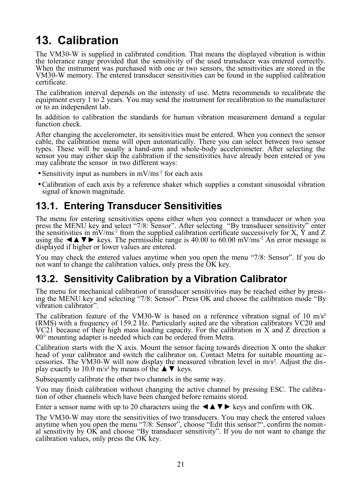# <span id="page-24-2"></span>**13. Calibration**

The VM30-W is supplied in calibrated condition. That means the displayed vibration is within the tolerance range provided that the sensitivity of the used transducer was entered correctly. When the instrument was purchased with one or two sensors, the sensitivities are stored in the VM30-W memory. The entered transducer sensitivities can be found in the supplied calibration certificate.

The calibration interval depends on the intensity of use. Metra recommends to recalibrate the equipment every 1 to 2 years. You may send the instrument for recalibration to the manufacturer or to an independent lab.

In addition to calibration the standards for human vibration measurement demand a regular function check.

After changing the accelerometer, its sensitivities must be entered. When you connect the sensor cable, the calibration menu will open automatically. There you can select between two sensor types. These will be usually a hand-arm and whole-body accelerometer. After selecting the sensor you may either skip the calibration if the sensitivities have already been entered or you may calibrate the sensor in two different ways:

- Sensitivity input as numbers in  $mV/ms<sup>-2</sup>$  for each axis
- •Calibration of each axis by a reference shaker which supplies a constant sinusoidal vibration signal of known magnitude.

#### <span id="page-24-1"></span>**13.1. Entering Transducer Sensitivities**

The menu for entering sensitivities opens either when you connect a transducer or when you press the MENU key and select "7/8: Sensor". After selecting "By transducer sensitivity" enter the sensitivities in  $\text{mV/ms}^2$  from the supplied calibration certificate successively for X,  $\check{Y}$  and Z using the  $\triangle$   $\blacktriangleright$  keys. The permissible range is 40.00 to 60.00 mV/ms<sup>-2</sup> An error message is displayed if higher or lower values are entered.

You may check the entered values anytime when you open the menu "7/8: Sensor". If you do not want to change the calibration values, only press the OK key.

#### <span id="page-24-0"></span>**13.2. Sensitivity Calibration by a Vibration Calibrator**

The menu for mechanical calibration of transducer sensitivities may be reached either by pressing the MENU key and selecting "7/8: Sensor". Press OK and choose the calibration mode "By vibration calibrator".

The calibration feature of the VM30-W is based on a reference vibration signal of 10  $\text{m/s}^2$ (RMS) with a frequency of 159.2 Hz. Particularly suited are the vibration calibrators VC20 and VC21 because of their high mass loading capacity. For the calibration in X and Z direction a 90° mounting adapter is needed which can be ordered from Metra.

Calibration starts with the X axis. Mount the sensor facing towards direction X onto the shaker head of your calibrator and switch the calibrator on. Contact Metra for suitable mounting accessories. The VM30-W will now display the measured vibration level in m/s². Adjust the display exactly to 10.0 m/s<sup>2</sup> by means of the  $\blacktriangle \blacktriangledown$  keys.

Subsequently calibrate the other two channels in the same way.

You may finish calibration without changing the active channel by pressing ESC. The calibration of other channels which have been changed before remains stored.

Enter a sensor name with up to 20 characters using the  $\triangle \blacktriangle \blacktriangledown \blacktriangleright$  keys and confirm with OK.

The VM30-W may store the sensitivities of two transducers. You may check the entered values anytime when you open the menu "7/8: Sensor", choose "Edit this sensor?", confirm the nominal sensitivity by OK and choose "By transducer sensitivity". If you do not want to change the calibration values, only press the OK key.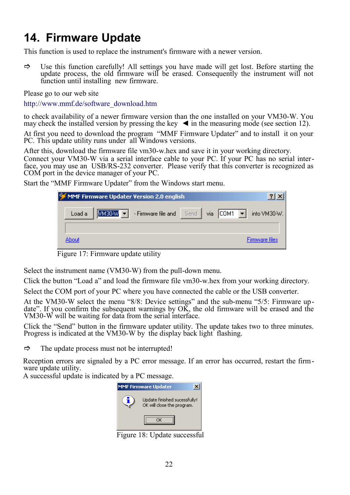## <span id="page-25-0"></span>**14. Firmware Update**

This function is used to replace the instrument's firmware with a newer version.

 $\Rightarrow$  Use this function carefully! All settings you have made will get lost. Before starting the update process, the old firmware will be erased. Consequently the instrument will not function until installing new firmware.

Please go to our web site

[http://www.mmf.de/software\\_download.htm](http://www.mmf.de/software-download.htm)

to check availability of a newer firmware version than the one installed on your VM30-W. You may check the installed version by pressing the key  $\blacktriangleleft$  in the measuring mode (see section [12\)](#page-23-1).

At first you need to download the program "MMF Firmware Updater" and to install it on your PC. This update utility runs under all Windows versions.

After this, download the firmware file vm30-w.hex and save it in your working directory.

Connect your VM30-W via a serial interface cable to your PC. If your PC has no serial interface, you may use an USB/RS-232 converter. Please verify that this converter is recognized as COM port in the device manager of your PC.

Start the "MMF Firmware Updater" from the Windows start menu.



Figure 17: Firmware update utility

Select the instrument name (VM30-W) from the pull-down menu.

Click the button "Load a" and load the firmware file vm30-w.hex from your working directory.

Select the COM port of your PC where you have connected the cable or the USB converter.

At the VM30-W select the menu "8/8: Device settings" and the sub-menu "5/5: Firmware update". If you confirm the subsequent warnings by OK, the old firmware will be erased and the VM30-W will be waiting for data from the serial interface.

Click the "Send" button in the firmware updater utility. The update takes two to three minutes. Progress is indicated at the VM30-W by the display back light flashing.

 $\Rightarrow$  The update process must not be interrupted!

Reception errors are signaled by a PC error message. If an error has occurred, restart the firmware update utility.

A successful update is indicated by a PC message.



Figure 18: Update successful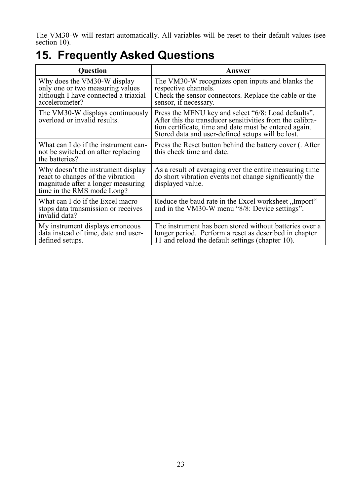The VM30-W will restart automatically. All variables will be reset to their default values (see section [10\)](#page-23-0).

## <span id="page-26-0"></span>**15. Frequently Asked Questions**

| <b>Ouestion</b>                                                                                                                             | Answer                                                                                                                                                                                                                          |  |  |  |
|---------------------------------------------------------------------------------------------------------------------------------------------|---------------------------------------------------------------------------------------------------------------------------------------------------------------------------------------------------------------------------------|--|--|--|
| Why does the VM30-W display<br>only one or two measuring values<br>although I have connected a triaxial<br>accelerometer?                   | The VM30-W recognizes open inputs and blanks the<br>respective channels.<br>Check the sensor connectors. Replace the cable or the<br>sensor, if necessary.                                                                      |  |  |  |
| The VM30-W displays continuously<br>overload or invalid results.                                                                            | Press the MENU key and select "6/8: Load defaults".<br>After this the transducer sensitivities from the calibra-<br>tion certificate, time and date must be entered again.<br>Stored data and user-defined setups will be lost. |  |  |  |
| What can I do if the instrument can-<br>not be switched on after replacing<br>the batteries?                                                | Press the Reset button behind the battery cover (. After<br>this check time and date.                                                                                                                                           |  |  |  |
| Why doesn't the instrument display<br>react to changes of the vibration<br>magnitude after a longer measuring<br>time in the RMS mode Long? | As a result of averaging over the entire measuring time<br>do short vibration events not change significantly the<br>displayed value.                                                                                           |  |  |  |
| What can I do if the Excel macro<br>stops data transmission or receives<br>invalid data?                                                    | Reduce the baud rate in the Excel worksheet "Import"<br>and in the VM30-W menu "8/8: Device settings".                                                                                                                          |  |  |  |
| My instrument displays erroneous<br>data instead of time, date and user-<br>defined setups.                                                 | The instrument has been stored without batteries over a<br>longer period. Perform a reset as described in chapter<br>11 and reload the default settings (chapter 10).                                                           |  |  |  |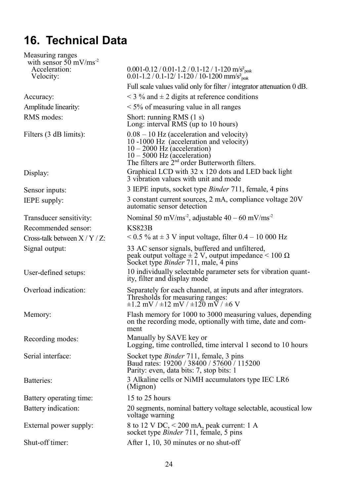# <span id="page-27-0"></span>**16. Technical Data**

Measuring ranges with sensor  $50 \text{ mV/ms}^2$  Acceleration: Velocity:  $0.001 - 0.12 / 0.01 - 1.2 / 0.1 - 12 / 1 - 120$  m/s<sup>2</sup><sub>peak</sub>  $0.01$ -1.2 / 0.1-12/ 1-120 / 10-1200 mm/s<sup>2</sup><sub>peak</sub> Full scale values valid only for filter / integrator attenuation 0 dB. Accuracy:  $\lt 3\%$  and  $\pm 2$  digits at reference conditions Amplitude linearity:  $\leq 5\%$  of measuring value in all ranges RMS modes: Short: running RMS (1 s) Long: interval RMS (up to 10 hours) Filters (3 dB limits): 0.08 – 10 Hz (acceleration and velocity) 10 -1000 Hz (acceleration and velocity)  $10 - 2000$  Hz (acceleration)  $10 - 5000$  Hz (acceleration) The filters are  $2<sup>nd</sup>$  order Butterworth filters. Display: Graphical LCD with 32 x 120 dots and LED back light 3 vibration values with unit and mode Sensor inputs: 3 IEPE inputs, socket type *Binder* 711, female, 4 pins IEPE supply: 3 constant current sources, 2 mA, compliance voltage 20V automatic sensor detection Transducer sensitivity: Nominal 50 mV/ms<sup>-2</sup>, adjustable  $40 - 60$  mV/ms<sup>-2</sup> Recommended sensor: KS823B Cross-talk between  $X/Y/Z$ :  $\leq 0.5\%$  at  $\pm 3$  V input voltage, filter  $0.4 - 10\,000$  Hz Signal output: 33 AC sensor signals, buffered and unfiltered, peak output voltage  $\pm 2$  V, output impedance < 100  $\Omega$ Socket type *Binder* 711, male, 4 pins User-defined setups: 10 individually selectable parameter sets for vibration quantity, filter and display mode Overload indication: Separately for each channel, at inputs and after integrators. Thresholds for measuring ranges:  $\pm 1.2$  mV /  $\pm 12$  mV /  $\pm 120$  mV /  $\pm 6$  V Memory: Flash memory for 1000 to 3000 measuring values, depending on the recording mode, optionally with time, date and comment Recording modes: Manually by SAVE key or Logging, time controlled, time interval 1 second to 10 hours Serial interface: Socket type *Binder* 711, female, 3 pins Baud rates: 19200 / 38400 / 57600 / 115200 Parity: even, data bits: 7, stop bits: 1 Batteries: 3 Alkaline cells or NiMH accumulators type IEC LR6 (Mignon) Battery operating time: 15 to 25 hours Battery indication: 20 segments, nominal battery voltage selectable, acoustical low voltage warning External power supply: 8 to 12 V DC, < 200 mA, peak current: 1 A socket type *Binder* 711, female, 5 pins Shut-off timer: After 1, 10, 30 minutes or no shut-off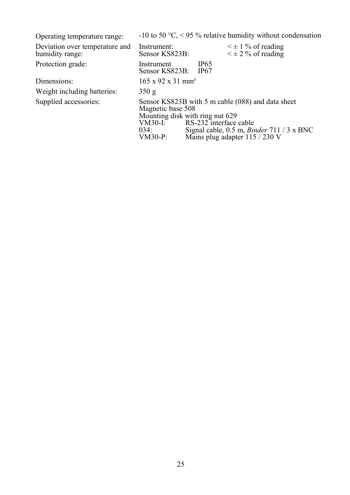| Operating temperature range:                      |                                                                                                                                                                                                                                                                  |  |                     | -10 to 50 °C, < 95 % relative humidity without condensation |
|---------------------------------------------------|------------------------------------------------------------------------------------------------------------------------------------------------------------------------------------------------------------------------------------------------------------------|--|---------------------|-------------------------------------------------------------|
| Deviation over temperature and<br>humidity range: | Instrument:<br>Sensor KS823B:                                                                                                                                                                                                                                    |  |                     | $\leq \pm 1$ % of reading<br>$\leq \pm 2$ % of reading      |
| Protection grade:                                 | Instrument<br>Sensor KS823B:                                                                                                                                                                                                                                     |  | <b>IP65</b><br>IP67 |                                                             |
| Dimensions:                                       | $165 \times 92 \times 31 \text{ mm}^3$                                                                                                                                                                                                                           |  |                     |                                                             |
| Weight including batteries:                       | 350 g                                                                                                                                                                                                                                                            |  |                     |                                                             |
| Supplied accessories:                             | Sensor KS823B with 5 m cable (088) and data sheet<br>Magnetic base 508<br>Mounting disk with ring nut 629<br>RS-232 interface cable<br>VM30-I:<br>034:<br>Signal cable, $0.5$ m, <i>Binder</i> $711 / 3 \times BNC$<br>Mains plug adapter 115 / 230 V<br>VM30-P: |  |                     |                                                             |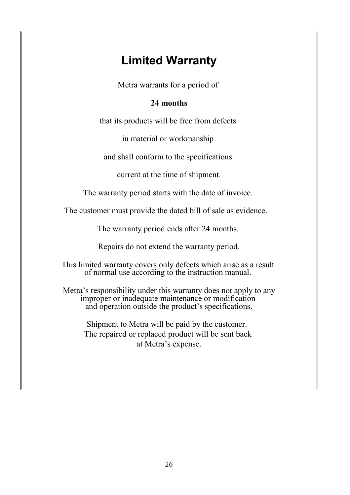## **Limited Warranty**

Metra warrants for a period of

#### **24 months**

that its products will be free from defects

in material or workmanship

and shall conform to the specifications

current at the time of shipment.

The warranty period starts with the date of invoice.

The customer must provide the dated bill of sale as evidence.

The warranty period ends after 24 months.

Repairs do not extend the warranty period.

This limited warranty covers only defects which arise as a result of normal use according to the instruction manual.

Metra's responsibility under this warranty does not apply to any improper or inadequate maintenance or modification and operation outside the product's specifications.

Shipment to Metra will be paid by the customer. The repaired or replaced product will be sent back at Metra's expense.